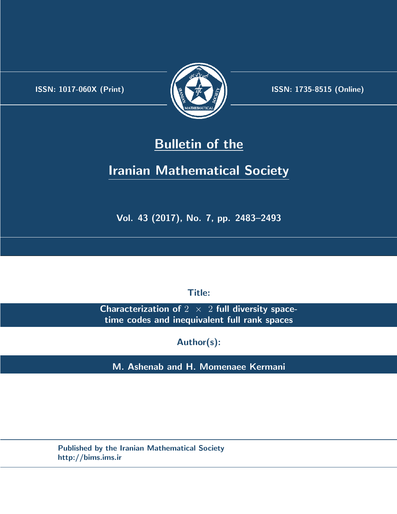.



**ISSN:** 1017-060X (Print)  $\left(\frac{1}{2}\right)$   $\frac{1}{2}$   $\frac{1}{2}$   $\frac{1}{2}$  **ISSN:** 1735-8515 (Online)

## **Bulletin of the**

# **Iranian Mathematical Society**

**Vol. 43 (2017), No. 7, pp. 2483–2493**

**Title:**

**Characterization of** 2 *×* 2 **full diversity spacetime codes and inequivalent full rank spaces**

**Author(s):**

**M. Ashenab and H. Momenaee Kermani**

**Published by the Iranian Mathematical Society http://bims.ims.ir**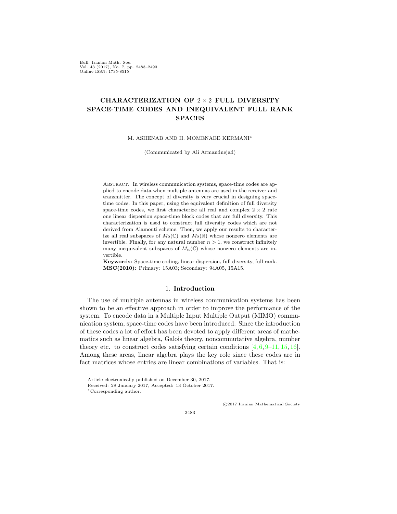Bull. Iranian Math. Soc. Vol. 43 (2017), No. 7, pp. 2483–2493 Online ISSN: 1735-8515

## **CHARACTERIZATION OF** 2 *×* 2 **FULL DIVERSITY SPACE-TIME CODES AND INEQUIVALENT FULL RANK SPACES**

M. ASHENAB AND H. MOMENAEE KERMANI*∗*

(Communicated by Ali Armandnejad)

Abstract. In wireless communication systems, space-time codes are applied to encode data when multiple antennas are used in the receiver and transmitter. The concept of diversity is very crucial in designing spacetime codes. In this paper, using the equivalent definition of full diversity space-time codes, we first characterize all real and complex  $2 \times 2$  rate one linear dispersion space-time block codes that are full diversity. This characterization is used to construct full diversity codes which are not derived from Alamouti scheme. Then, we apply our results to characterize all real subspaces of  $M_2(\mathbb{C})$  and  $M_2(\mathbb{R})$  whose nonzero elements are invertible. Finally, for any natural number  $n > 1$ , we construct infinitely many inequivalent subspaces of  $M_n(\mathbb{C})$  whose nonzero elements are invertible.

**Keywords:** Space-time coding, linear dispersion, full diversity, full rank. **MSC(2010):** Primary: 15A03; Secondary: 94A05, 15A15.

## 1. **Introduction**

The use of multiple antennas in wireless communication systems has been shown to be an effective approach in order to improve the performance of the system. To encode data in a Multiple Input Multiple Output (MIMO) communication system, space-time codes have been introduced. Since the introduction of these codes a lot of effort has been devoted to apply different areas of mathematics such as linear algebra, Galois theory, noncommutative algebra, number theory etc. to construct codes satisfying certain conditions  $[4, 6, 9-11, 15, 16]$  $[4, 6, 9-11, 15, 16]$  $[4, 6, 9-11, 15, 16]$  $[4, 6, 9-11, 15, 16]$  $[4, 6, 9-11, 15, 16]$  $[4, 6, 9-11, 15, 16]$  $[4, 6, 9-11, 15, 16]$  $[4, 6, 9-11, 15, 16]$  $[4, 6, 9-11, 15, 16]$ . Among these areas, linear algebra plays the key role since these codes are in fact matrices whose entries are linear combinations of variables. That is:

*⃝*c 2017 Iranian Mathematical Society

Article electronically published on December 30, 2017.

Received: 28 January 2017, Accepted: 13 October 2017.

*<sup>∗</sup>*Corresponding author.

<sup>2483</sup>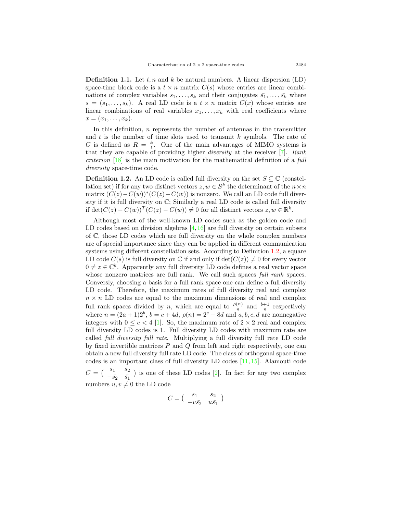**Definition 1.1.** Let *t, n* and *k* be natural numbers. A linear dispersion (LD) space-time block code is a  $t \times n$  matrix  $C(s)$  whose entries are linear combinations of complex variables  $s_1, \ldots, s_k$  and their conjugates  $\bar{s_1}, \ldots, \bar{s_k}$  where  $s = (s_1, \ldots, s_k)$ . A real LD code is a  $t \times n$  matrix  $C(x)$  whose entries are linear combinations of real variables  $x_1, \ldots, x_k$  with real coefficients where  $x = (x_1, \ldots, x_k).$ 

In this definition, *n* represents the number of antennas in the transmitter and *t* is the number of time slots used to transmit *k* symbols. The rate of *C* is defined as  $R = \frac{k}{t}$ . One of the main advantages of MIMO systems is that they are capable of providing higher *diversity* at the receiver [[7\]](#page-10-3). *Rank criterion* [[18\]](#page-11-3) is the main motivation for the mathematical definition of a *full diversity* space-time code.

<span id="page-2-0"></span>**Definition 1.2.** An LD code is called full diversity on the set  $S \subseteq \mathbb{C}$  (constellation set) if for any two distinct vectors  $z, w \in S^k$  the determinant of the  $n \times n$ matrix  $(C(z) - C(w))$ <sup>\*</sup> $(C(z) - C(w))$  is nonzero. We call an LD code full diversity if it is full diversity on C; Similarly a real LD code is called full diversity if det( $C(z) - C(w)$ )<sup>T</sup>( $C(z) - C(w)$ ) ≠ 0 for all distinct vectors  $z, w \in \mathbb{R}^k$ .

Although most of the well-known LD codes such as the golden code and LD codes based on division algebras  $[4,16]$  $[4,16]$  $[4,16]$  $[4,16]$  are full diversity on certain subsets of C, those LD codes which are full diversity on the whole complex numbers are of special importance since they can be applied in different communication systems using different constellation sets. According to Definition [1.2,](#page-2-0) a square LD code  $C(s)$  is full diversity on  $\mathbb C$  if and only if  $\det(C(z)) \neq 0$  for every vector  $0 \neq z \in \mathbb{C}^k$ . Apparently any full diversity LD code defines a real vector space whose nonzero matrices are full rank. We call such spaces *full rank* spaces. Conversly, choosing a basis for a full rank space one can define a full diversity LD code. Therefore, the maximum rates of full diversity real and complex  $n \times n$  LD codes are equal to the maximum dimensions of real and complex full rank spaces divided by *n*, which are equal to  $\frac{\rho(n)}{n}$  and  $\frac{b+1}{n}$  respectively where  $n = (2a+1)2^b$ ,  $b = c + 4d$ ,  $\rho(n) = 2^c + 8d$  and  $a, b, c, d$  are nonnegative integers with  $0 \leq c < 4$  [[1](#page-10-4)]. So, the maximum rate of  $2 \times 2$  real and complex full diversity LD codes is 1. Full diversity LD codes with maximum rate are called *full diversity full rate*. Multiplying a full diversity full rate LD code by fixed invertible matrices *P* and *Q* from left and right respectively, one can obtain a new full diversity full rate LD code. The class of orthogonal space-time codes is an important class of full diversity LD codes  $[11, 15]$  $[11, 15]$  $[11, 15]$  $[11, 15]$  $[11, 15]$ . Alamouti code

 $C = \begin{pmatrix} s_1 & s_2 \\ s_1 & s_2 \end{pmatrix}$  $-\bar{s_2}$  *s*ī<sub>1</sub> ) is one of these LD codes [[2\]](#page-10-5). In fact for any two complex numbers  $u, v \neq 0$  the LD code

$$
C = \begin{pmatrix} s_1 & s_2 \\ -v\bar{s_2} & u\bar{s_1} \end{pmatrix}
$$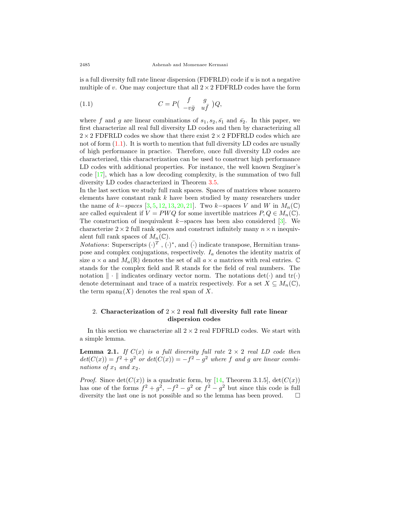is a full diversity full rate linear dispersion (FDFRLD) code if *u* is not a negative multiple of *v*. One may conjecture that all  $2 \times 2$  FDFRLD codes have the form

<span id="page-3-0"></span>(1.1) 
$$
C = P\begin{pmatrix} f & g \\ -v\bar{g} & u\bar{f} \end{pmatrix} Q,
$$

where *f* and *g* are linear combinations of  $s_1, s_2, \overline{s_1}$  and  $\overline{s_2}$ . In this paper, we first characterize all real full diversity LD codes and then by characterizing all  $2 \times 2$  FDFRLD codes we show that there exist  $2 \times 2$  FDFRLD codes which are not of form  $(1.1)$ . It is worth to mention that full diversity LD codes are usually of high performance in practice. Therefore, once full diversity LD codes are characterized, this characterization can be used to construct high performance LD codes with additional properties. For instance, the well known Sezginer's code [\[17](#page-11-4)], which has a low decoding complexity, is the summation of two full diversity LD codes characterized in Theorem [3.5.](#page-7-0)

In the last section we study full rank spaces. Spaces of matrices whose nonzero elements have constant rank *k* have been studied by many researchers under the name of  $k$ −*spaces* [\[3](#page-10-6), [5](#page-10-7), [12,](#page-11-5) [13,](#page-11-6) [20](#page-11-7), [21](#page-11-8)]. Two  $k$ −spaces  $V$  and  $W$  in  $M_n(\mathbb{C})$ are called equivalent if  $V = PWQ$  for some invertible matrices  $P, Q \in M_n(\mathbb{C})$ . The construction of inequivalent *k−*spaces has been also considered [[3\]](#page-10-6). We characterize  $2 \times 2$  full rank spaces and construct infinitely many  $n \times n$  inequivalent full rank spaces of  $M_n(\mathbb{C})$ .

*Notations*: Superscripts  $(\cdot)^T$ ,  $(\cdot)^*$ , and  $(\cdot)$  indicate transpose, Hermitian transpose and complex conjugations, respectively.  $I_a$  denotes the identity matrix of size  $a \times a$  and  $M_a(\mathbb{R})$  denotes the set of all  $a \times a$  matrices with real entries.  $\mathbb C$ stands for the complex field and R stands for the field of real numbers. The notation *∥ · ∥* indicates ordinary vector norm. The notations det(*·*) and tr(*·*) denote determinant and trace of a matrix respectively. For a set  $X \subseteq M_n(\mathbb{C}),$ the term  $\text{span}_{\mathbb{R}}(X)$  denotes the real span of X.

## 2. **Characterization of** 2 *×* 2 **real full diversity full rate linear dispersion codes**

In this section we characterize all  $2 \times 2$  real FDFRLD codes. We start with a simple lemma.

<span id="page-3-1"></span>**Lemma 2.1.** *If*  $C(x)$  *is a full diversity full rate*  $2 \times 2$  *real LD code then*  $det(C(x)) = f^2 + g^2$  *or*  $det(C(x)) = -f^2 - g^2$  *where f* and *g* are linear combi*nations of*  $x_1$  *and*  $x_2$ *.* 

*Proof.* Since  $\det(C(x))$  is a quadratic form, by [[14,](#page-11-9) Theorem 3.1.5],  $\det(C(x))$ has one of the forms  $f^2 + g^2$ ,  $-f^2 - g^2$  or  $f^2 - g^2$  but since this code is full diversity the last one is not possible and so the lemma has been proved.  $\Box$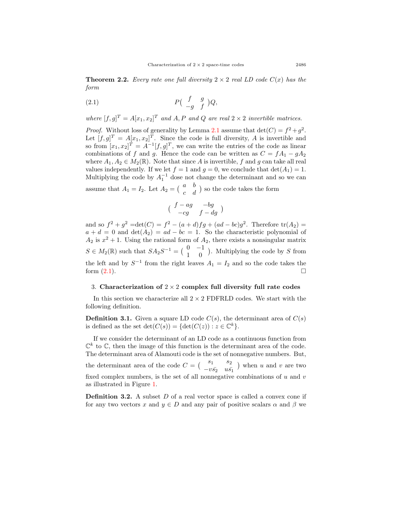<span id="page-4-1"></span>**Theorem 2.2.** *Every rate one full diversity*  $2 \times 2$  *real LD code*  $C(x)$  *has the form*

<span id="page-4-0"></span>
$$
(2.1) \t\t\t P\left(\begin{array}{cc} f & g \\ -g & f \end{array}\right)Q,
$$

*where*  $[f, g]^T = A[x_1, x_2]^T$  *and A, P and Q are real*  $2 \times 2$  *invertible matrices.* 

*Proof.* Without loss of generality by Lemma [2.1](#page-3-1) assume that  $\det(C) = f^2 + g^2$ . Let  $[f, g]^T = A[x_1, x_2]^T$ . Since the code is full diversity, A is invertible and so from  $[x_1, x_2]^T = A^{-1}[f, g]^T$ , we can write the entries of the code as linear combinations of *f* and *g*. Hence the code can be written as  $C = fA_1 - gA_2$ where  $A_1, A_2 \in M_2(\mathbb{R})$ . Note that since A is invertible, f and g can take all real values independently. If we let  $f = 1$  and  $g = 0$ , we conclude that  $\det(A_1) = 1$ . Multiplying the code by  $A_1^{-1}$  dose not change the determinant and so we can assume that  $A_1 = I_2$ . Let  $A_2 = \begin{pmatrix} a & b \\ c & d \end{pmatrix}$ *c d* ) so the code takes the form

$$
\big(\begin{array}{cc} f-ag & -bg \\ -cg & f-dg \end{array}\big)
$$

and so  $f^2 + g^2 = det(C) = f^2 - (a + d)fg + (ad - bc)g^2$ . Therefore  $tr(A_2) =$  $a + d = 0$  and  $\det(A_2) = ad - bc = 1$ . So the characteristic polynomial of  $A_2$  is  $x^2 + 1$ . Using the rational form of  $A_2$ , there exists a nonsingular matrix  $S \in M_2(\mathbb{R})$  such that  $SA_2S^{-1} = \begin{pmatrix} 0 & -1 \\ 1 & 0 \end{pmatrix}$ 1 0 ) . Multiplying the code by *S* from the left and by  $S^{-1}$  from the right leaves  $A_1 = I_2$  and so the code takes the form  $(2.1)$  $(2.1)$  $(2.1)$ .

## 3. **Characterization of** 2 *×* 2 **complex full diversity full rate codes**

In this section we characterize all  $2 \times 2$  FDFRLD codes. We start with the following definition.

**Definition 3.1.** Given a square LD code  $C(s)$ , the determinant area of  $C(s)$ is defined as the set  $\det(C(s)) = {\det(C(z)) : z \in \mathbb{C}^k}$ .

If we consider the determinant of an LD code as a continuous function from  $\mathbb{C}^k$  to  $\mathbb{C}$ , then the image of this function is the determinant area of the code. The determinant area of Alamouti code is the set of nonnegative numbers. But, the determinant area of the code  $C = \begin{pmatrix} s_1 & s_2 \\ s_1 & s_2 \end{pmatrix}$ *−vs*¯<sup>2</sup> *us*¯<sup>1</sup> ) when *u* and *v* are two fixed complex numbers, is the set of all nonnegative combinations of *u* and *v* as illustrated in Figure [1](#page-5-0).

**Definition 3.2.** A subset *D* of a real vector space is called a convex cone if for any two vectors *x* and  $y \in D$  and any pair of positive scalars  $\alpha$  and  $\beta$  we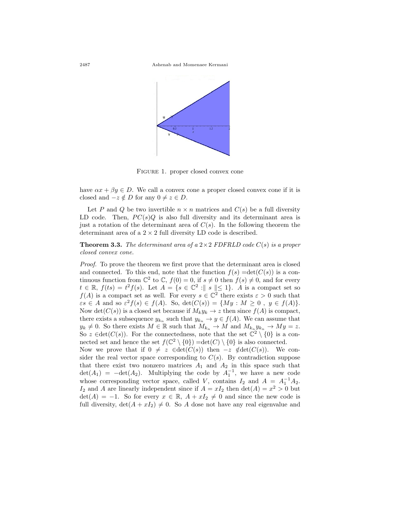

<span id="page-5-0"></span>Figure 1. proper closed convex cone

have  $\alpha x + \beta y \in D$ . We call a convex cone a proper closed convex cone if it is closed and  $-z \notin D$  for any  $0 \neq z \in D$ .

Let *P* and *Q* be two invertible  $n \times n$  matrices and  $C(s)$  be a full diversity LD code. Then,  $PC(s)Q$  is also full diversity and its determinant area is just a rotation of the determinant area of  $C(s)$ . In the following theorem the determinant area of a 2 *×* 2 full diversity LD code is described.

<span id="page-5-1"></span>**Theorem 3.3.** *The determinant area of a* 2*×*2 *FDFRLD code C*(*s*) *is a proper closed convex cone.*

*Proof.* To prove the theorem we first prove that the determinant area is closed and connected. To this end, note that the function  $f(s) = \det(C(s))$  is a continuous function from  $\mathbb{C}^2$  to  $\mathbb{C}$ ,  $f(0) = 0$ , if  $s \neq 0$  then  $f(s) \neq 0$ , and for every  $t \in \mathbb{R}$ ,  $f(ts) = t^2 f(s)$ . Let  $A = \{s \in \mathbb{C}^2 : \parallel s \parallel \leq 1\}$ . *A* is a compact set so *f*(*A*) is a compact set as well. For every  $s \in \mathbb{C}^2$  there exists  $\varepsilon > 0$  such that  $\epsilon s \in A$  and so  $\epsilon^2 f(s) \in f(A)$ . So,  $\det(C(s)) = \{My : M \ge 0, y \in f(A)\}.$ Now det( $C(s)$ ) is a closed set because if  $M_k y_k \to z$  then since  $f(A)$  is compact, there exists a subsequence  $y_{k_n}$  such that  $y_{k_n} \to y \in f(A)$ . We can assume that  $y_k \neq 0$ . So there exists  $M \in \mathbb{R}$  such that  $M_{k_n} \to M$  and  $M_{k_n} y_{k_n} \to My = z$ . So  $z \in \det(C(s))$ . For the connectedness, note that the set  $\mathbb{C}^2 \setminus \{0\}$  is a connected set and hence the set  $f(\mathbb{C}^2 \setminus \{0\}) = det(C) \setminus \{0\}$  is also connected.

Now we prove that if 0  $\neq z$  ∈det(*C*(*s*)) then  $-z \notin det(C(s))$ . We consider the real vector space corresponding to  $C(s)$ . By contradiction suppose that there exist two nonzero matrices  $A_1$  and  $A_2$  in this space such that  $\det(A_1) = -\det(A_2)$ . Multiplying the code by  $A_1^{-1}$ , we have a new code whose corresponding vector space, called *V*, contains  $I_2$  and  $A = A_1^{-1}A_2$ . *I*<sub>2</sub> and *A* are linearly independent since if  $A = xI_2$  then  $\det(A) = x^2 > 0$  but  $\det(A) = -1$ . So for every  $x \in \mathbb{R}$ ,  $A + xI_2 \neq 0$  and since the new code is full diversity,  $\det(A + xI_2) \neq 0$ . So *A* dose not have any real eigenvalue and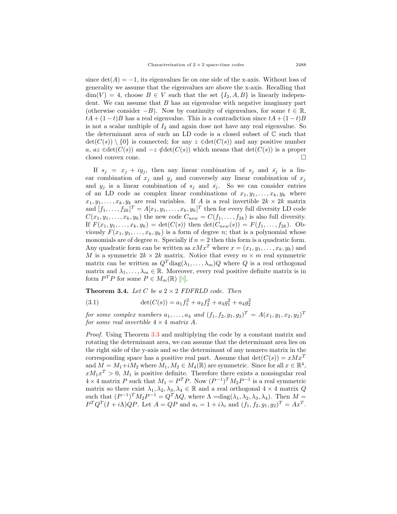since  $\det(A) = -1$ , its eigenvalues lie on one side of the x-axis. Without loss of generality we assume that the eigenvalues are above the x-axis. Recalling that  $\dim(V) = 4$ , choose  $B \in V$  such that the set  $\{I_2, A, B\}$  is linearly independent. We can assume that *B* has an eigenvalue with negative imaginary part (otherwise consider  $-B$ ). Now by continuity of eigenvalues, for some  $t \in \mathbb{R}$ ,  $tA + (1-t)B$  has a real eigenvalue. This is a contradiction since  $tA + (1-t)B$ is not a scalar multiple of  $I_2$  and again dose not have any real eigenvalue. So the determinant area of such an LD code is a closed subset of C such that  $\det(C(s)) \setminus \{0\}$  is connected; for any  $z \in \det(C(s))$  and any positive number *a*, *az* ∈det( $C(s)$ ) and  $-z \notin det(C(s))$  which means that det( $C(s)$ ) is a proper closed convex cone. □

If  $s_j = x_j + iy_j$ , then any linear combination of  $s_j$  and  $\bar{s_j}$  is a linear combination of  $x_j$  and  $y_j$  and conversely any linear combination of  $x_j$ and  $y_i$  is a linear combination of  $s_i$  and  $\bar{s_i}$ . So we can consider entries of an LD code as complex linear combinations of  $x_1, y_1, \ldots, x_k, y_k$  where  $x_1, y_1, \ldots, x_k, y_k$  are real variables. If *A* is a real invertible  $2k \times 2k$  matrix and  $[f_1, \ldots, f_{2k}]^T = A[x_1, y_1, \ldots, x_k, y_k]^T$  then for every full diversity LD code  $C(x_1, y_1, \ldots, x_k, y_k)$  the new code  $C_{new} = C(f_1, \ldots, f_{2k})$  is also full diversity. If  $F(x_1, y_1, \ldots, x_k, y_k) = \det(C(s))$  then  $\det(C_{new}(s)) = F(f_1, \ldots, f_{2k})$ . Obviously  $F(x_1, y_1, \ldots, x_k, y_k)$  is a form of degree *n*; that is a polynomial whose monomials are of degree *n*. Specially if  $n = 2$  then this form is a quadratic form. Any quadratic form can be written as  $xMx^T$  where  $x = (x_1, y_1, \ldots, x_k, y_k)$  and *M* is a symmetric  $2k \times 2k$  matrix. Notice that every  $m \times m$  real symmetric matrix can be written as  $Q^T \text{diag}(\lambda_1, \ldots, \lambda_m)Q$  where *Q* is a real orthogonal matrix and  $\lambda_1, \ldots, \lambda_m \in \mathbb{R}$ . Moreover, every real positive definite matrix is in form  $P^T P$  for some  $P \in M_m(\mathbb{R})$  [\[8](#page-10-8)].

<span id="page-6-0"></span>**Theorem 3.4.** *Let*  $C$  *be a*  $2 \times 2$  *FDFRLD code. Then* 

<span id="page-6-1"></span>(3.1) 
$$
\det(C(s)) = a_1 f_1^2 + a_2 f_2^2 + a_3 g_1^2 + a_4 g_2^2
$$

*for some complex numbers*  $a_1, \ldots, a_4$  *and*  $(f_1, f_2, g_1, g_2)^T = A(x_1, y_1, x_2, y_2)^T$ *for some real invertible*  $4 \times 4$  *matrix*  $A$ *.* 

*Proof.* Using Theorem [3.3](#page-5-1) and multiplying the code by a constant matrix and rotating the determinant area, we can assume that the determinant area lies on the right side of the y-axis and so the determinant of any nonzero matrix in the corresponding space has a positive real part. Assume that  $\det(C(s)) = xMx^T$ and  $M = M_1 + iM_2$  where  $M_1, M_2 \in M_4(\mathbb{R})$  are symmetric. Since for all  $x \in \mathbb{R}^4$ ,  $xM_1x^T > 0$ ,  $M_1$  is positive definite. Therefore there exists a nonsingular real  $4 \times 4$  matrix *P* such that  $M_1 = P^T P$ . Now  $(P^{-1})^T M_2 P^{-1}$  is a real symmetric matrix so there exist  $\lambda_1, \lambda_2, \lambda_3, \lambda_4 \in \mathbb{R}$  and a real orthogonal  $4 \times 4$  matrix *Q* such that  $(P^{-1})^T M_2 P^{-1} = Q^T \Lambda Q$ , where  $\Lambda = \text{diag}(\lambda_1, \lambda_2, \lambda_3, \lambda_4)$ . Then  $M =$  $P^T Q^T (I + i\Lambda) QP$ . Let  $A = QP$  and  $a_i = 1 + i\lambda_i$  and  $(f_1, f_2, g_1, g_2)^T = Ax^T$ .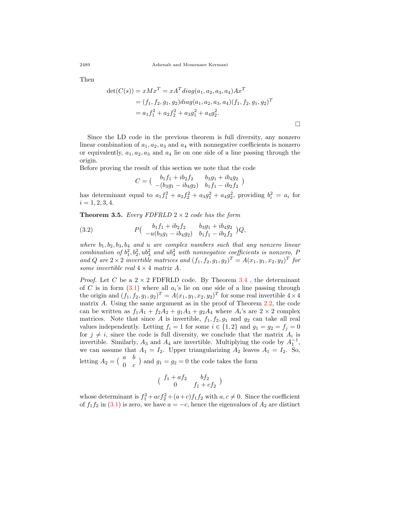Then

$$
det(C(s)) = xMx^{T} = xA^{T}diag(a_1, a_2, a_3, a_4)Ax^{T}
$$
  
=  $(f_1, f_2, g_1, g_2)diag(a_1, a_2, a_3, a_4)(f_1, f_2, g_1, g_2)^{T}$   
=  $a_1f_1^{2} + a_2f_2^{2} + a_3g_1^{2} + a_4g_2^{2}$ .

Since the LD code in the previous theorem is full diversity, any nonzero linear combination of  $a_1, a_2, a_3$  and  $a_4$  with nonnegative coefficients is nonzero or equivalently,  $a_1, a_2, a_3$  and  $a_4$  lie on one side of a line passing through the origin.

Before proving the result of this section we note that the code

$$
C = \begin{pmatrix} b_1 f_1 + ib_2 f_2 & b_3 g_1 + ib_4 g_2 \\ -(b_3 g_1 - ib_4 g_2) & b_1 f_1 - ib_2 f_2 \end{pmatrix}
$$

has determinant equal to  $a_1 f_1^2 + a_2 f_2^2 + a_3 g_1^2 + a_4 g_2^2$ , providing  $b_i^2 = a_i$  for  $i = 1, 2, 3, 4.$ 

<span id="page-7-0"></span>**Theorem 3.5.** *Every FDFRLD*  $2 \times 2$  *code has the form* 

<span id="page-7-1"></span>(3.2) 
$$
P\begin{pmatrix} b_1f_1 + ib_2f_2 & b_3g_1 + ib_4g_2 \ -u(b_3g_1 - ib_4g_2) & b_1f_1 - ib_2f_2 \end{pmatrix} Q,
$$

*where b*1*, b*2*, b*3*, b*<sup>4</sup> *and u are complex numbers such that any nonzero linear combination of*  $b_1^2, b_2^2, ub_3^2$  *and*  $ub_4^2$  *with nonnegative coefficients is nonzero, P and Q* are  $2 \times 2$  *invertible matrices and*  $(f_1, f_2, g_1, g_2)^T = A(x_1, y_1, x_2, y_2)^T$  *for some invertible real*  $4 \times 4$  *matrix*  $A$ *.* 

*Proof.* Let *C* be a  $2 \times 2$  FDFRLD code. By Theorem [3.4](#page-6-0), the determinant of *C* is in form  $(3.1)$  $(3.1)$  where all  $a_i$ 's lie on one side of a line passing through the origin and  $(f_1, f_2, g_1, g_2)^T = A(x_1, y_1, x_2, y_2)^T$  for some real invertible  $4 \times 4$ matrix *A*. Using the same argument as in the proof of Theorem [2.2,](#page-4-1) the code can be written as  $f_1A_1 + f_2A_2 + g_1A_3 + g_2A_4$  where  $A_i$ 's are  $2 \times 2$  complex matrices. Note that since *A* is invertible,  $f_1, f_2, g_1$  and  $g_2$  can take all real values independently. Letting  $f_i = 1$  for some  $i \in \{1, 2\}$  and  $g_1 = g_2 = f_j = 0$ for  $j \neq i$ , since the code is full diversity, we conclude that the matrix  $A_i$  is invertible. Similarly,  $A_3$  and  $A_4$  are invertible. Multiplying the code by  $A_1^{-1}$ , we can assume that  $A_1 = I_2$ . Upper triangularizing  $A_2$  leaves  $A_1 = I_2$ . So, letting  $A_2 = \begin{pmatrix} a & b \\ 0 & a \end{pmatrix}$ 0 *c* ) and  $g_1 = g_2 = 0$  the code takes the form

$$
\big(\begin{array}{cc} f_1 + af_2 & bf_2 \cr 0 & f_1 + cf_2 \end{array}\big)
$$

whose determinant is  $f_1^2 + acf_2^2 + (a+c)f_1f_2$  with  $a, c \neq 0$ . Since the coefficient of  $f_1 f_2$  in ([3.1\)](#page-6-1) is zero, we have  $a = -c$ , hence the eigenvalues of  $A_2$  are distinct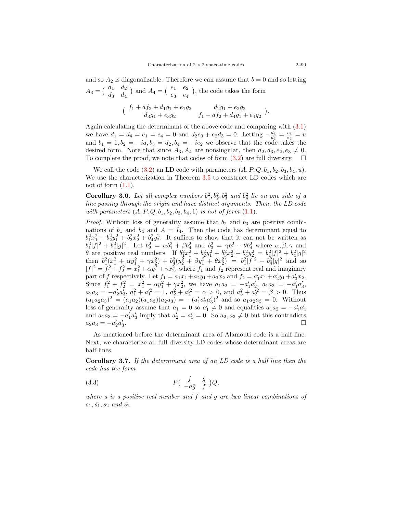and so  $A_2$  is diagonalizable. Therefore we can assume that  $b = 0$  and so letting  $A_3 = \begin{pmatrix} d_1 & d_2 \\ d_1 & d_2 \end{pmatrix}$ *d*<sup>3</sup> *d*<sup>4</sup> ) and  $A_4 = \begin{pmatrix} e_1 & e_2 \\ 0 & 0 \end{pmatrix}$ *e*<sup>3</sup> *e*<sup>4</sup> ) , the code takes the form

$$
\begin{pmatrix} f_1 + af_2 + d_1g_1 + e_1g_2 & d_2g_1 + e_2g_2 \ d_3g_1 + e_3g_2 & f_1 - af_2 + d_4g_1 + e_4g_2 \end{pmatrix}.
$$

Again calculating the determinant of the above code and comparing with  $(3.1)$  $(3.1)$  $(3.1)$ we have  $d_1 = d_4 = e_1 = e_4 = 0$  and  $d_2e_3 + e_2d_3 = 0$ . Letting  $-\frac{d_3}{d_2} = \frac{e_3}{e_2} = u$ and  $b_1 = 1, b_2 = -ia, b_3 = d_2, b_4 = -ie_2$  we observe that the code takes the desired form. Note that since  $A_3$ ,  $A_4$  are nonsingular, then  $d_2$ ,  $d_3$ ,  $e_2$ ,  $e_3 \neq 0$ . To complete the proof, we note that codes of form  $(3.2)$  $(3.2)$  are full diversity.  $\Box$ 

We call the code  $(3.2)$  $(3.2)$  an LD code with parameters  $(A, P, Q, b_1, b_2, b_3, b_4, u)$ . We use the characterization in Theorem [3.5](#page-7-0) to construct LD codes which are not of form  $(1.1)$  $(1.1)$  $(1.1)$ .

**Corollary 3.6.** Let all complex numbers  $b_1^2, b_2^2, b_3^2$  and  $b_4^2$  lie on one side of a *line passing through the origin and have distinct arguments. Then, the LD code with parameters*  $(A, P, Q, b_1, b_2, b_3, b_4, 1)$  *is not of form*  $(1.1)$  $(1.1)$  $(1.1)$ *.* 

*Proof.* Without loss of generality assume that  $b_2$  and  $b_3$  are positive combinations of  $b_1$  and  $b_4$  and  $A = I_4$ . Then the code has determinant equal to  $b_1^2x_1^2 + b_2^2y_1^2 + b_3^2x_2^2 + b_4^2y_2^2$ . It suffices to show that it can not be written as  $b_1^2 |f|^2 + b_4^2 |g|^2$ . Let  $b_2^2 = \alpha b_1^2 + \beta b_4^2$  and  $b_3^2 = \gamma b_1^2 + \theta b_4^2$  where  $\alpha, \beta, \gamma$  and  $\theta$  are positive real numbers. If  $b_1^2x_1^2 + b_2^2y_1^2 + b_3^2x_2^2 + b_4^2y_2^2 = b_1^2|f|^2 + b_4^2|g|^2$ then  $b_1^2(x_1^2 + \alpha y_1^2 + \gamma x_2^2) + b_4^2(y_2^2 + \beta y_1^2 + \theta x_2^2) = b_1^2|f|^2 + b_4^2|g|^2$  and so  $|f|^2 = f_1^2 + f_2^2 = x_1^2 + \alpha y_1^2 + \gamma x_2^2$ , where  $f_1$  and  $f_2$  represent real and imaginary part of *f* respectively. Let  $f_1 = a_1x_1 + a_2y_1 + a_3x_2$  and  $f_2 = a'_1x_1 + a'_2y_1 + a'_3x_2$ . Since  $f_1^2 + f_2^2 = x_1^2 + \alpha y_1^2 + \gamma x_2^2$ , we have  $a_1 a_2 = -a'_1 a'_2$ ,  $a_1 a_3 = -a'_1 a'_3$ ,  $a_2a_3 = -a'_2a'_3$ ,  $a_1^2 + a_1'^2 = 1$ ,  $a_2^2 + a_2'^2 = \alpha > 0$ , and  $a_3^2 + a_3'^2 = \beta > 0$ . Thus  $(a_1a_2a_3)^2 = (a_1a_2)(a_1a_3)(a_2a_3) = -(a'_1a'_2a'_3)^2$  and so  $a_1a_2a_3 = 0$ . Without loss of generality assume that  $a_1 = 0$  so  $a'_1 \neq 0$  and equalities  $a_1 a_2 = -a'_1 a'_2$ and  $a_1a_3 = -a'_1a'_3$  imply that  $a'_2 = a'_3 = 0$ . So  $a_2, a_3 \neq 0$  but this contradicts  $a_2a_3 = -a'_2a'_3$ . □

As mentioned before the determinant area of Alamouti code is a half line. Next, we characterize all full diversity LD codes whose determinant areas are half lines.

**Corollary 3.7.** *If the determinant area of an LD code is a half line then the code has the form*

<span id="page-8-0"></span>
$$
(3.3) \t\t P\left(\begin{array}{cc} f & g \\ -a\bar{g} & \bar{f} \end{array}\right)Q,
$$

*where a is a positive real number and f and g are two linear combinations of*  $s_1, \bar{s_1}, s_2 \text{ and } \bar{s_2}.$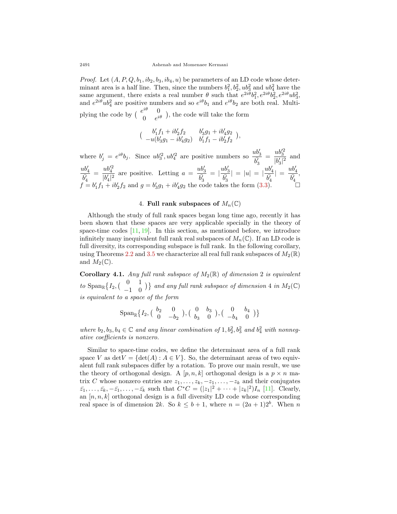*Proof.* Let  $(A, P, Q, b_1, ib_2, b_3, ib_4, u)$  be parameters of an LD code whose determinant area is a half line. Then, since the numbers  $b_1^2, b_2^2, ub_3^2$  and  $ub_4^2$  have the same argument, there exists a real number  $\theta$  such that  $e^{2i\theta}b_1^2, e^{2i\theta}b_2^2, e^{2i\theta}ub_3^2$ , and  $e^{2i\theta}u b_4^2$  are positive numbers and so  $e^{i\theta}b_1$  and  $e^{i\theta}b_2$  are both real. Multiplying the code by  $\begin{pmatrix} e^{i\theta} & 0 \\ 0 & 0 \end{pmatrix}$  $\begin{pmatrix} 0 \\ 0 \end{pmatrix}$ , the code will take the form

$$
\bigl(\begin{array}{cc}b'_1f_1+ib'_2f_2&b'_3g_1+ib'_4g_2\\-u(b'_3g_1-ib'_4g_2)&b'_1f_1-ib'_2f_2\end{array}\bigr),
$$

where  $b'_j = e^{i\theta}b_j$ . Since  $ub'^2_3$ ,  $ub'^2_4$  are positive numbers so  $\frac{ub'_3}{\overline{b'_3}} = \frac{ub'^2_3}{|b'_3|^2}$  $rac{ub'_4}{\overline{b'_4}} = \frac{ub'^2_4}{|b'_4|^2}$  are positive. Letting  $a = \frac{ub'_3}{\overline{b'_3}} = |\frac{ub'_3}{\overline{b'_3}}| = |u| = |\frac{ub'_4}{\overline{b'_4}}| =$  $\frac{w \cdot 3}{|b'_3|^2}$  and  $=\frac{ub_4^2}{1113}$  $\frac{ub_4'^2}{|b'_4|^2}$  are positive. Letting  $a = \frac{ub_3'}{b_3'}$  $= |\frac{ub'_3}{\bar{b'_3}}|$  $| = |u| = |\frac{ub'_4}{b'_4}|$  $| = \frac{ub'_4}{b'_4}$ ,  $f = b'_1 f_1 + ib'_2 f_2$  and  $g = b'_3 g_1 + ib'_4 g_2$  the code takes the form [\(3.3\)](#page-8-0). □

### 4. **Full rank subspaces of**  $M_n(\mathbb{C})$

Although the study of full rank spaces began long time ago, recently it has been shown that these spaces are very applicable specially in the theory of space-time codes  $[11, 19]$  $[11, 19]$  $[11, 19]$  $[11, 19]$  $[11, 19]$ . In this section, as mentioned before, we introduce infinitely many inequivalent full rank real subspaces of  $M_n(\mathbb{C})$ . If an LD code is full diversity, its corresponding subspace is full rank. In the following corollary, using Theorems [2.2](#page-4-1) and [3.5](#page-7-0) we characterize all real full rank subspaces of  $M_2(\mathbb{R})$ and  $M_2(\mathbb{C})$ .

**Corollary 4.1.** *Any full rank subspace of*  $M_2(\mathbb{R})$  *of dimension* 2 *is equivalent*  $to$  Span<sub>R</sub> $\{I_2, \begin{pmatrix} 0 & 1 \\ -1 & 0 \end{pmatrix}$  $\begin{bmatrix} 0 & 1 \\ -1 & 0 \end{bmatrix}$  *and any full rank subspace of dimension* 4 *in*  $M_2(\mathbb{C})$ *is equivalent to a space of the form*

$$
\text{Span}_{\mathbb{R}}\big\{I_2,\left(\begin{array}{cc}b_2&0\\0&-b_2\end{array}\right),\left(\begin{array}{cc}0&b_3\\b_3&0\end{array}\right),\left(\begin{array}{cc}0&b_4\\-b_4&0\end{array}\right)\big\}
$$

*where*  $b_2, b_3, b_4 \in \mathbb{C}$  *and any linear combination of*  $1, b_2^2, b_3^2$  *and*  $b_4^2$  *with nonnegative coefficients is nonzero.*

Similar to space-time codes, we define the determinant area of a full rank space *V* as  $detV = \{det(A) : A \in V\}$ . So, the determinant areas of two equivalent full rank subspaces differ by a rotation. To prove our main result, we use the theory of orthogonal design. A  $[p, n, k]$  orthogonal design is a  $p \times n$  matrix *C* whose nonzero entries are  $z_1, \ldots, z_k, -z_1, \ldots, -z_k$  and their conjugates  $\bar{z}_1, \ldots, \bar{z}_k, -\bar{z}_1, \ldots, -\bar{z}_k$  such that  $C^*C = (|z_1|^2 + \cdots + |z_k|^2)I_n$  [[11\]](#page-11-0). Clearly, an [*n, n, k*] orthogonal design is a full diversity LD code whose corresponding real space is of dimension 2*k*. So  $k \leq b+1$ , where  $n = (2a+1)2^b$ . When *n*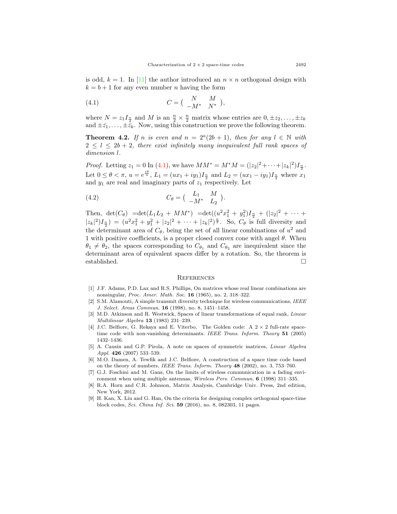is odd,  $k = 1$ . In [\[11](#page-11-0)] the author introduced an  $n \times n$  orthogonal design with  $k = b + 1$  for any even number *n* having the form

<span id="page-10-9"></span>(4.1) 
$$
C = \begin{pmatrix} N & M \\ -M^* & N^* \end{pmatrix},
$$

where  $N = z_1 I_{\frac{n}{2}}$  and  $M$  is an  $\frac{n}{2} \times \frac{n}{2}$  matrix whose entries are  $0, \pm z_2, \ldots, \pm z_k$ and  $\pm \bar{z}_1, \ldots, \pm \bar{z}_k$ . Now, using this construction we prove the following theorem.

**Theorem 4.2.** If *n* is even and  $n = 2^a(2b + 1)$ , then for any  $l \in \mathbb{N}$  with  $2 \leq l \leq 2b + 2$ , there exist infinitely many inequivalent full rank spaces of *dimension l.*

*Proof.* Letting  $z_1 = 0$  In [\(4.1](#page-10-9)), we have  $MM^* = M^*M = (|z_2|^2 + \cdots + |z_k|^2)I_{\frac{n}{2}}$ . Let  $0 \le \theta < \pi$ ,  $u = e^{\frac{i\theta}{n}}$ ,  $L_1 = (ux_1 + iy_1)I_{\frac{n}{2}}$  and  $L_2 = (ux_1 - iy_1)I_{\frac{n}{2}}$  where  $x_1$ and  $y_1$  are real and imaginary parts of  $z_1$  respectively. Let

(4.2) 
$$
C_{\theta} = \begin{pmatrix} L_1 & M \\ -M^* & L_2 \end{pmatrix}.
$$

Then,  $\det(C_{\theta}) = \det(L_1 L_2 + MM^*) = \det((u^2 x_1^2 + y_1^2) I_{\frac{n}{2}} + (|z_2|^2 + \cdots +$  $|z_k|^2$  $(I_{\frac{n}{2}}) = (u^2x_1^2 + y_1^2 + |z_2|^2 + \cdots + |z_k|^2)^{\frac{n}{2}}$ . So,  $C_{\theta}$  is full diversity and the determinant area of  $C_{\theta}$ , being the set of all linear combinations of  $u^2$  and 1 with positive coefficients, is a proper closed convex cone with angel *θ*. When  $\theta_1 \neq \theta_2$ , the spaces corresponding to  $C_{\theta_1}$  and  $C_{\theta_2}$  are inequivalent since the determinant area of equivalent spaces differ by a rotation. So, the theorem is established. □

#### **REFERENCES**

- <span id="page-10-4"></span>[1] J.F. Adams, P.D. Lax and R.S. Phillips, On matrices whose real linear combinations are nonsingular, *Proc. Amer. Math. Soc.* **16** (1965), no. 2, 318–322.
- <span id="page-10-5"></span>[2] S.M. Alamouti, A simple transmit diversity technique for wireless communications, *IEEE J. Select. Areas Commun.* **16** (1998), no. 8, 1451–1458.
- <span id="page-10-6"></span>[3] M.D. Atkinson and R. Westwick, Spaces of linear transformations of equal rank, *Linear Multilinear Algebra* **13** (1983) 231–239.
- <span id="page-10-0"></span>[4] J.C. Belfiore, G. Rekaya and E. Viterbo, The Golden code: A 2 *×* 2 full-rate spacetime code with non-vanishing determinants. *IEEE Trans. Inform. Theory* **51** (2005) 1432–1436.
- <span id="page-10-7"></span>[5] A. Causin and G.P. Pirola, A note on spaces of symmetric matrices, *Linear Algebra Appl.* **426** (2007) 533–539.
- <span id="page-10-1"></span>[6] M.O. Damen, A. Tewfik and J.C. Belfiore, A construction of a space time code based on the theory of numbers, *IEEE Trans. Inform. Theory* **48** (2002), no. 3, 753–760.
- <span id="page-10-3"></span>[7] G.J. Foschini and M. Gans, On the limits of wireless communication in a fading environment when using multiple antennas, *Wireless Pers. Commun.* **6** (1998) 311–335.
- <span id="page-10-8"></span>[8] R.A. Horn and C.R. Johnson, Matrix Analysis, Cambridge Univ. Press, 2nd edition, New York, 2012.
- <span id="page-10-2"></span>[9] H. Kan, X. Liu and G. Han, On the criteria for designing complex orthogonal space-time block codes, *Sci. China Inf. Sci.* **59** (2016), no. 8, 082303, 11 pages.